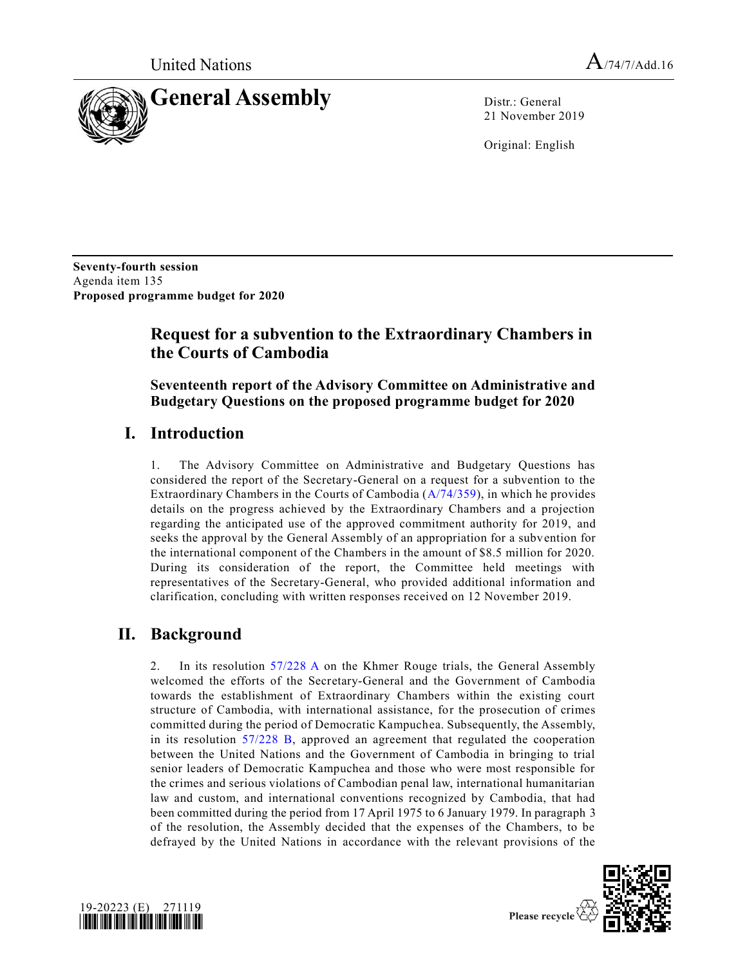

21 November 2019

Original: English

**Seventy-fourth session** Agenda item 135 **Proposed programme budget for 2020**

# **Request for a subvention to the Extraordinary Chambers in the Courts of Cambodia**

**Seventeenth report of the Advisory Committee on Administrative and Budgetary Questions on the proposed programme budget for 2020**

## **I. Introduction**

1. The Advisory Committee on Administrative and Budgetary Questions has considered the report of the Secretary-General on a request for a subvention to the Extraordinary Chambers in the Courts of Cambodia [\(A/74/359\)](https://undocs.org/en/A/74/359), in which he provides details on the progress achieved by the Extraordinary Chambers and a projection regarding the anticipated use of the approved commitment authority for 2019, and seeks the approval by the General Assembly of an appropriation for a subvention for the international component of the Chambers in the amount of \$8.5 million for 2020. During its consideration of the report, the Committee held meetings with representatives of the Secretary-General, who provided additional information and clarification, concluding with written responses received on 12 November 2019.

# **II. Background**

2. In its resolution [57/228 A](https://undocs.org/en/A/RES/57/228A) on the Khmer Rouge trials, the General Assembly welcomed the efforts of the Secretary-General and the Government of Cambodia towards the establishment of Extraordinary Chambers within the existing court structure of Cambodia, with international assistance, for the prosecution of crimes committed during the period of Democratic Kampuchea. Subsequently, the Assembly, in its resolution [57/228 B,](https://undocs.org/en/A/RES/57/228%20B) approved an agreement that regulated the cooperation between the United Nations and the Government of Cambodia in bringing to trial senior leaders of Democratic Kampuchea and those who were most responsible for the crimes and serious violations of Cambodian penal law, international humanitarian law and custom, and international conventions recognized by Cambodia, that had been committed during the period from 17 April 1975 to 6 January 1979. In paragraph 3 of the resolution, the Assembly decided that the expenses of the Chambers, to be defrayed by the United Nations in accordance with the relevant provisions of the



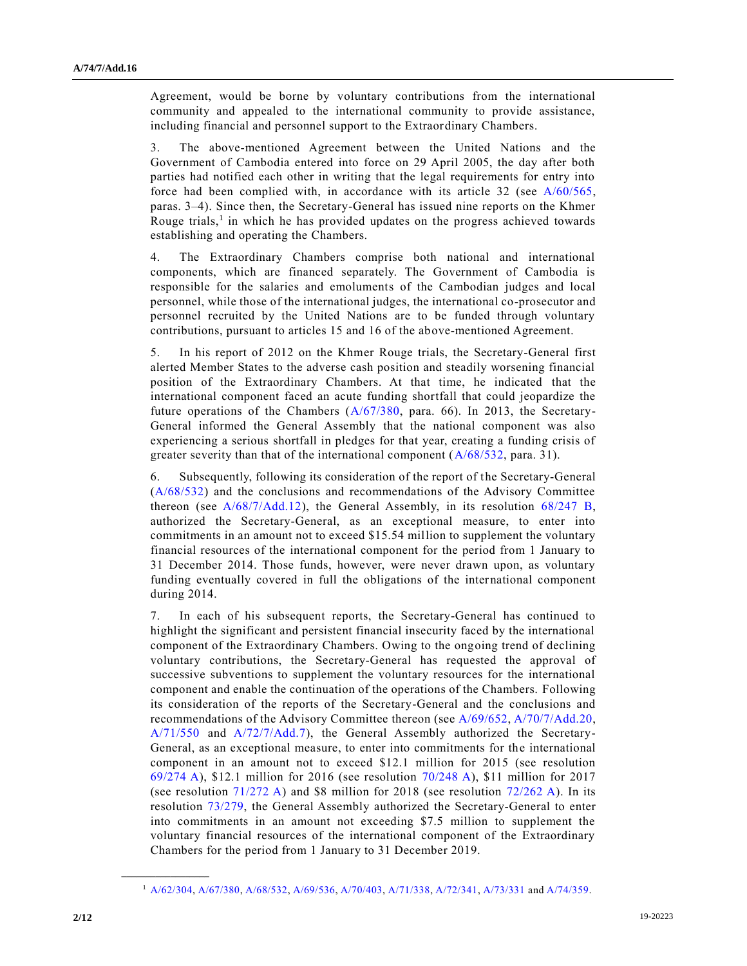Agreement, would be borne by voluntary contributions from the international community and appealed to the international community to provide assistance, including financial and personnel support to the Extraordinary Chambers.

3. The above-mentioned Agreement between the United Nations and the Government of Cambodia entered into force on 29 April 2005, the day after both parties had notified each other in writing that the legal requirements for entry into force had been complied with, in accordance with its article 32 (see [A/60/565,](https://undocs.org/en/A/60/565) paras. 3–4). Since then, the Secretary-General has issued nine reports on the Khmer Rouge trials,<sup>1</sup> in which he has provided updates on the progress achieved towards establishing and operating the Chambers.

4. The Extraordinary Chambers comprise both national and international components, which are financed separately. The Government of Cambodia is responsible for the salaries and emoluments of the Cambodian judges and local personnel, while those of the international judges, the international co-prosecutor and personnel recruited by the United Nations are to be funded through voluntary contributions, pursuant to articles 15 and 16 of the above-mentioned Agreement.

5. In his report of 2012 on the Khmer Rouge trials, the Secretary-General first alerted Member States to the adverse cash position and steadily worsening financial position of the Extraordinary Chambers. At that time, he indicated that the international component faced an acute funding shortfall that could jeopardize the future operations of the Chambers [\(A/67/380,](https://undocs.org/en/A/67/380) para. 66). In 2013, the Secretary-General informed the General Assembly that the national component was also experiencing a serious shortfall in pledges for that year, creating a funding crisis of greater severity than that of the international component [\(A/68/532,](https://undocs.org/en/A/68/532) para. 31).

6. Subsequently, following its consideration of the report of the Secretary-General [\(A/68/532\)](https://undocs.org/en/A/68/532) and the conclusions and recommendations of the Advisory Committee thereon (see [A/68/7/Add.12\)](https://undocs.org/en/A/68/7/Add.12), the General Assembly, in its resolution [68/247 B,](https://undocs.org/en/A/RES/68/247B) authorized the Secretary-General, as an exceptional measure, to enter into commitments in an amount not to exceed \$15.54 million to supplement the voluntary financial resources of the international component for the period from 1 January to 31 December 2014. Those funds, however, were never drawn upon, as voluntary funding eventually covered in full the obligations of the international component during 2014.

7. In each of his subsequent reports, the Secretary-General has continued to highlight the significant and persistent financial insecurity faced by the international component of the Extraordinary Chambers. Owing to the ongoing trend of declining voluntary contributions, the Secretary-General has requested the approval of successive subventions to supplement the voluntary resources for the international component and enable the continuation of the operations of the Chambers. Following its consideration of the reports of the Secretary-General and the conclusions and recommendations of the Advisory Committee thereon (see [A/69/652,](https://undocs.org/en/A/69/652) [A/70/7/Add.20,](https://undocs.org/en/A/70/7/Add.20) [A/71/550](https://undocs.org/en/A/71/550) and [A/72/7/Add.7\)](https://undocs.org/en/A/72/7/Add.7), the General Assembly authorized the Secretary-General, as an exceptional measure, to enter into commitments for the international component in an amount not to exceed \$12.1 million for 2015 (see resolution [69/274](https://undocs.org/en/A/RES/69/274) A), \$12.1 million for 2016 (see resolution [70/248 A\)](https://undocs.org/en/A/RES/70/248), \$11 million for 2017 (see resolution [71/272 A\)](https://undocs.org/en/A/RES/71/272) and \$8 million for 2018 (see resolution [72/262 A\)](https://undocs.org/en/A/RES/72/262). In its resolution [73/279,](https://undocs.org/en/A/RES/73/279) the General Assembly authorized the Secretary-General to enter into commitments in an amount not exceeding \$7.5 million to supplement the voluntary financial resources of the international component of the Extraordinary Chambers for the period from 1 January to 31 December 2019.

**\_\_\_\_\_\_\_\_\_\_\_\_\_\_\_\_\_\_**

<sup>1</sup> [A/62/304,](https://undocs.org/en/A/62/304) [A/67/380,](https://undocs.org/en/A/67/380) [A/68/532,](https://undocs.org/en/A/68/532) [A/69/536,](https://undocs.org/en/A/69/536) [A/70/403,](https://undocs.org/en/A/70/403) [A/71/338,](https://undocs.org/en/A/71/338) [A/72/341,](https://undocs.org/en/A/72/341) [A/73/331](https://undocs.org/en/A/73/331) an[d A/74/359.](https://undocs.org/en/A/74/359)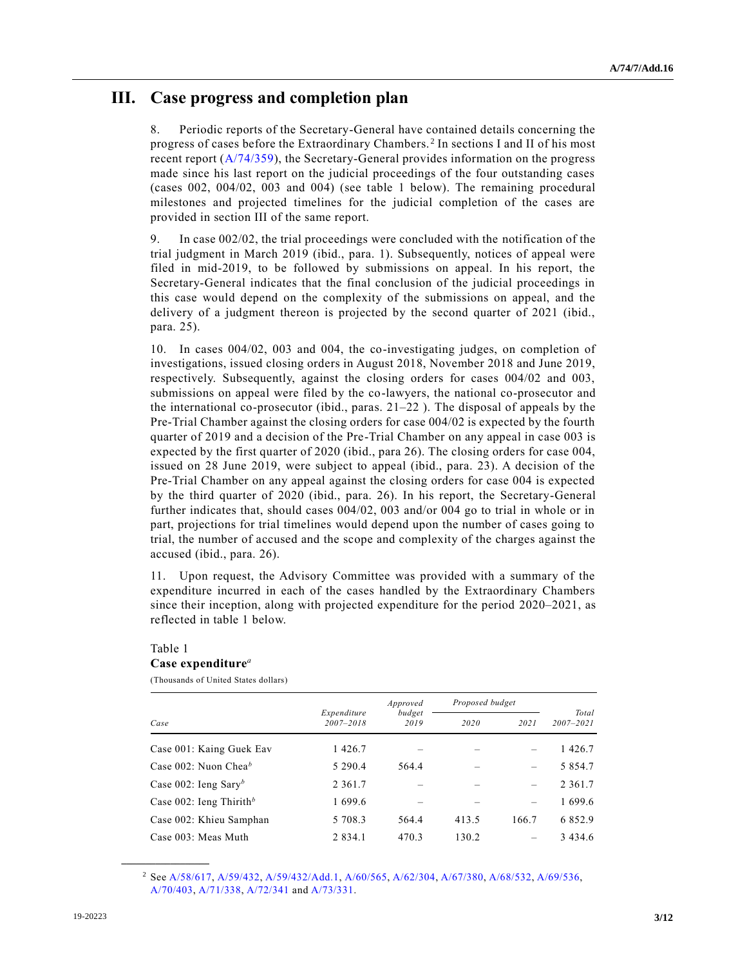## **III. Case progress and completion plan**

8. Periodic reports of the Secretary-General have contained details concerning the progress of cases before the Extraordinary Chambers. <sup>2</sup> In sections I and II of his most recent report [\(A/74/359\)](https://undocs.org/en/A/74/359), the Secretary-General provides information on the progress made since his last report on the judicial proceedings of the four outstanding cases (cases 002, 004/02, 003 and 004) (see table 1 below). The remaining procedural milestones and projected timelines for the judicial completion of the cases are provided in section III of the same report.

9. In case 002/02, the trial proceedings were concluded with the notification of the trial judgment in March 2019 (ibid., para. 1). Subsequently, notices of appeal were filed in mid-2019, to be followed by submissions on appeal. In his report, the Secretary-General indicates that the final conclusion of the judicial proceedings in this case would depend on the complexity of the submissions on appeal, and the delivery of a judgment thereon is projected by the second quarter of 2021 (ibid., para. 25).

10. In cases 004/02, 003 and 004, the co-investigating judges, on completion of investigations, issued closing orders in August 2018, November 2018 and June 2019, respectively. Subsequently, against the closing orders for cases 004/02 and 003, submissions on appeal were filed by the co-lawyers, the national co-prosecutor and the international co-prosecutor (ibid., paras. 21–22 ). The disposal of appeals by the Pre-Trial Chamber against the closing orders for case 004/02 is expected by the fourth quarter of 2019 and a decision of the Pre-Trial Chamber on any appeal in case 003 is expected by the first quarter of 2020 (ibid., para 26). The closing orders for case 004, issued on 28 June 2019, were subject to appeal (ibid., para. 23). A decision of the Pre-Trial Chamber on any appeal against the closing orders for case 004 is expected by the third quarter of 2020 (ibid., para. 26). In his report, the Secretary-General further indicates that, should cases 004/02, 003 and/or 004 go to trial in whole or in part, projections for trial timelines would depend upon the number of cases going to trial, the number of accused and the scope and complexity of the charges against the accused (ibid., para. 26).

11. Upon request, the Advisory Committee was provided with a summary of the expenditure incurred in each of the cases handled by the Extraordinary Chambers since their inception, along with projected expenditure for the period 2020–2021, as reflected in table 1 below.

### Table 1 **Case expenditure***<sup>a</sup>*

(Thousands of United States dollars)

|                                     |                          | Approved       | Proposed budget | Total                    |               |  |
|-------------------------------------|--------------------------|----------------|-----------------|--------------------------|---------------|--|
| Case                                | Expenditure<br>2007-2018 | budget<br>2019 | 2020            | 2021                     | $2007 - 2021$ |  |
| Case 001: Kaing Guek Eav            | 1426.7                   |                |                 |                          | 1426.7        |  |
| Case 002: Nuon Chea <sup>b</sup>    | 5 2 9 0 . 4              | 564.4          |                 |                          | 5 8 5 4 . 7   |  |
| Case 002: Ieng Sary <sup>b</sup>    | 2 3 6 1 .7               |                |                 |                          | 2 3 6 1 . 7   |  |
| Case 002: Ieng Thirith <sup>b</sup> | 1 699.6                  |                |                 | $\overline{\phantom{0}}$ | 1 699.6       |  |
| Case 002: Khieu Samphan             | 5 708.3                  | 564.4          | 413.5           | 166.7                    | 6 8 5 2.9     |  |
| Case 003: Meas Muth                 | 2 8 3 4 . 1              | 470.3          | 130.2           |                          | 3434.6        |  |

<sup>2</sup> Se[e A/58/617,](https://undocs.org/en/A/58/617) [A/59/432,](https://undocs.org/en/A/59/432) [A/59/432/Add.1,](https://undocs.org/en/A/59/432/Add.1) [A/60/565,](https://undocs.org/en/A/60/565) [A/62/304,](https://undocs.org/en/A/62/304) [A/67/380,](https://undocs.org/en/A/67/380) [A/68/532,](https://undocs.org/en/A/68/532) [A/69/536,](https://undocs.org/en/A/69/536)  [A/70/403,](https://undocs.org/en/A/70/403) [A/71/338,](https://undocs.org/en/A/71/338) [A/72/341](https://undocs.org/en/A/72/341) and [A/73/331.](https://undocs.org/en/A/73/331)

**\_\_\_\_\_\_\_\_\_\_\_\_\_\_\_\_\_\_**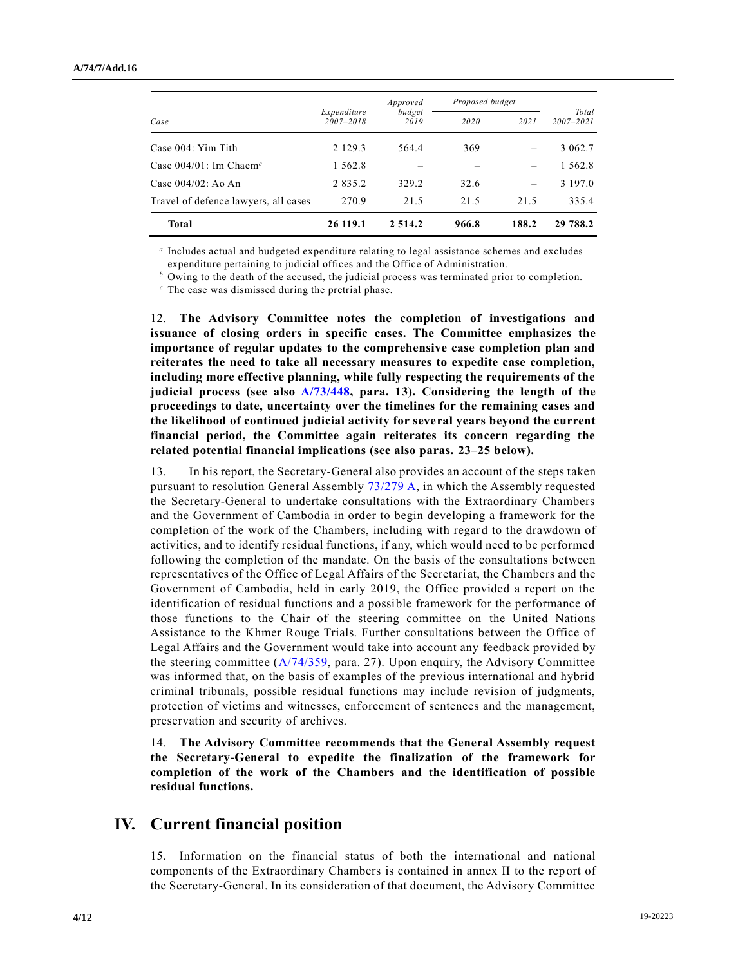|                                       |                              | Approved       | Proposed budget |       |                        |  |
|---------------------------------------|------------------------------|----------------|-----------------|-------|------------------------|--|
| Case                                  | Expenditure<br>$2007 - 2018$ | budget<br>2019 | 2020            | 2021  | Total<br>$2007 - 2021$ |  |
| Case 004: Yim Tith                    | 2 1 2 9 . 3                  | 564.4          | 369             |       | 3 0 6 2 . 7            |  |
| Case $004/01$ : Im Chaem <sup>c</sup> | 1 5 6 2 . 8                  |                |                 |       | 1 562.8                |  |
| Case $004/02$ : Ao An                 | 2 8 3 5 . 2                  | 329.2          | 32.6            |       | 3 197.0                |  |
| Travel of defence lawyers, all cases  | 270.9                        | 21.5           | 21.5            | 21.5  | 335.4                  |  |
| <b>Total</b>                          | 26 119.1                     | 2 5 1 4 . 2    | 966.8           | 188.2 | 29 788.2               |  |

*a* Includes actual and budgeted expenditure relating to legal assistance schemes and excludes expenditure pertaining to judicial offices and the Office of Administration.

*<sup>b</sup>* Owing to the death of the accused, the judicial process was terminated prior to completion.

*<sup>c</sup>* The case was dismissed during the pretrial phase.

12. **The Advisory Committee notes the completion of investigations and issuance of closing orders in specific cases. The Committee emphasizes the importance of regular updates to the comprehensive case completion plan and reiterates the need to take all necessary measures to expedite case completion, including more effective planning, while fully respecting the requirements of the judicial process (see also [A/73/448,](https://undocs.org/en/A/73/448) para. 13). Considering the length of the proceedings to date, uncertainty over the timelines for the remaining cases and the likelihood of continued judicial activity for several years beyond the current financial period, the Committee again reiterates its concern regarding the related potential financial implications (see also paras. 23–25 below).**

13. In his report, the Secretary-General also provides an account of the steps taken pursuant to resolution General Assembly [73/279 A,](https://undocs.org/en/A/RES/73/279) in which the Assembly requested the Secretary-General to undertake consultations with the Extraordinary Chambers and the Government of Cambodia in order to begin developing a framework for the completion of the work of the Chambers, including with regard to the drawdown of activities, and to identify residual functions, if any, which would need to be performed following the completion of the mandate. On the basis of the consultations between representatives of the Office of Legal Affairs of the Secretariat, the Chambers and the Government of Cambodia, held in early 2019, the Office provided a report on the identification of residual functions and a possible framework for the performance of those functions to the Chair of the steering committee on the United Nations Assistance to the Khmer Rouge Trials. Further consultations between the Office of Legal Affairs and the Government would take into account any feedback provided by the steering committee  $(A/74/359, \text{para. } 27)$  $(A/74/359, \text{para. } 27)$ . Upon enquiry, the Advisory Committee was informed that, on the basis of examples of the previous international and hybrid criminal tribunals, possible residual functions may include revision of judgments, protection of victims and witnesses, enforcement of sentences and the management, preservation and security of archives.

14. **The Advisory Committee recommends that the General Assembly request the Secretary-General to expedite the finalization of the framework for completion of the work of the Chambers and the identification of possible residual functions.**

### **IV. Current financial position**

15. Information on the financial status of both the international and national components of the Extraordinary Chambers is contained in annex II to the report of the Secretary-General. In its consideration of that document, the Advisory Committee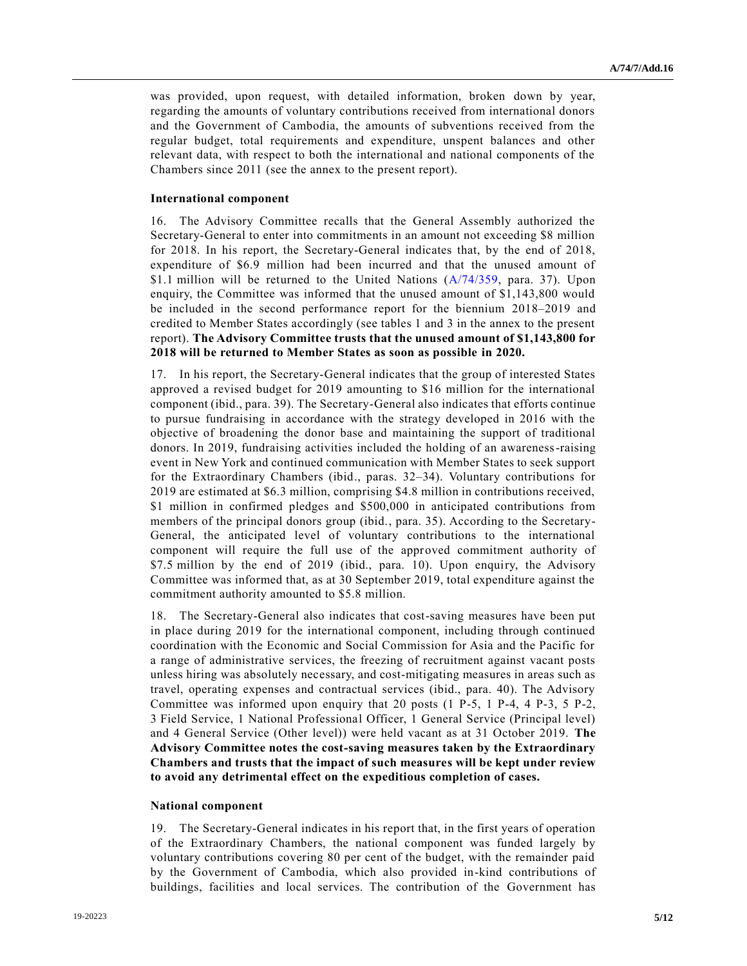was provided, upon request, with detailed information, broken down by year, regarding the amounts of voluntary contributions received from international donors and the Government of Cambodia, the amounts of subventions received from the regular budget, total requirements and expenditure, unspent balances and other relevant data, with respect to both the international and national components of the Chambers since 2011 (see the annex to the present report).

#### **International component**

16. The Advisory Committee recalls that the General Assembly authorized the Secretary-General to enter into commitments in an amount not exceeding \$8 million for 2018. In his report, the Secretary-General indicates that, by the end of 2018, expenditure of \$6.9 million had been incurred and that the unused amount of \$1.1 million will be returned to the United Nations [\(A/74/359,](https://undocs.org/en/A/74/359.) para. 37). Upon enquiry, the Committee was informed that the unused amount of \$1,143,800 would be included in the second performance report for the biennium 2018–2019 and credited to Member States accordingly (see tables 1 and 3 in the annex to the present report). **The Advisory Committee trusts that the unused amount of \$1,143,800 for 2018 will be returned to Member States as soon as possible in 2020.**

17. In his report, the Secretary-General indicates that the group of interested States approved a revised budget for 2019 amounting to \$16 million for the international component (ibid., para. 39). The Secretary-General also indicates that efforts continue to pursue fundraising in accordance with the strategy developed in 2016 with the objective of broadening the donor base and maintaining the support of traditional donors. In 2019, fundraising activities included the holding of an awareness-raising event in New York and continued communication with Member States to seek support for the Extraordinary Chambers (ibid., paras. 32–34). Voluntary contributions for 2019 are estimated at \$6.3 million, comprising \$4.8 million in contributions received, \$1 million in confirmed pledges and \$500,000 in anticipated contributions from members of the principal donors group (ibid., para. 35). According to the Secretary-General, the anticipated level of voluntary contributions to the international component will require the full use of the approved commitment authority of \$7.5 million by the end of 2019 (ibid., para. 10). Upon enquiry, the Advisory Committee was informed that, as at 30 September 2019, total expenditure against the commitment authority amounted to \$5.8 million.

18. The Secretary-General also indicates that cost-saving measures have been put in place during 2019 for the international component, including through continued coordination with the Economic and Social Commission for Asia and the Pacific for a range of administrative services, the freezing of recruitment against vacant posts unless hiring was absolutely necessary, and cost-mitigating measures in areas such as travel, operating expenses and contractual services (ibid., para. 40). The Advisory Committee was informed upon enquiry that 20 posts (1 P-5, 1 P-4, 4 P-3, 5 P-2, 3 Field Service, 1 National Professional Officer, 1 General Service (Principal level) and 4 General Service (Other level)) were held vacant as at 31 October 2019. **The Advisory Committee notes the cost-saving measures taken by the Extraordinary Chambers and trusts that the impact of such measures will be kept under review to avoid any detrimental effect on the expeditious completion of cases.**

#### **National component**

19. The Secretary-General indicates in his report that, in the first years of operation of the Extraordinary Chambers, the national component was funded largely by voluntary contributions covering 80 per cent of the budget, with the remainder paid by the Government of Cambodia, which also provided in-kind contributions of buildings, facilities and local services. The contribution of the Government has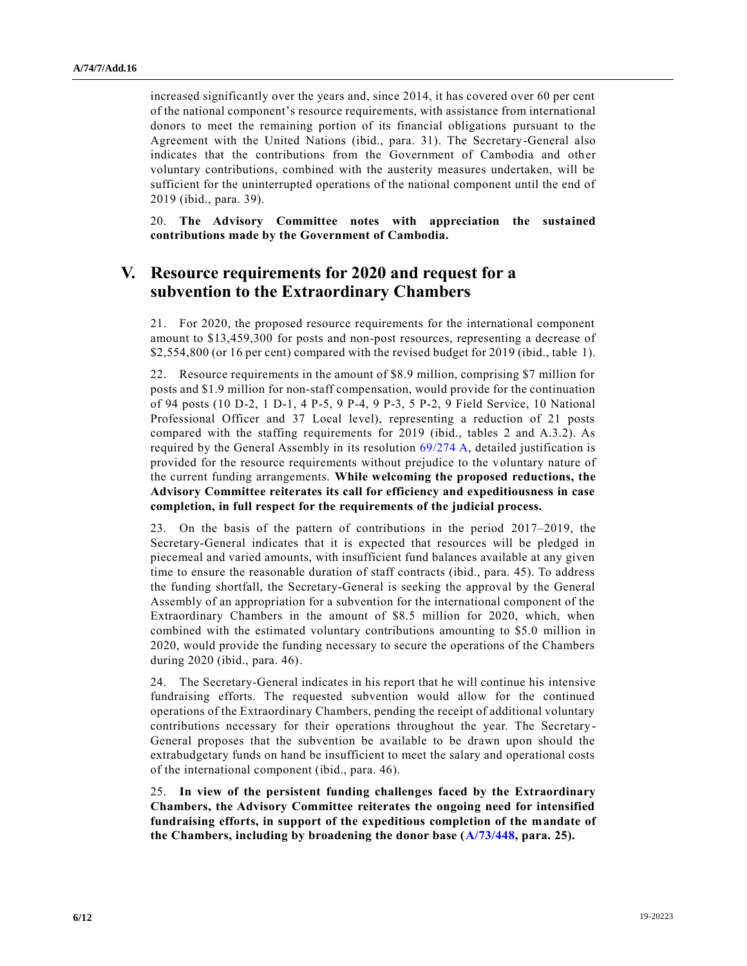increased significantly over the years and, since 2014, it has covered over 60 per cent of the national component's resource requirements, with assistance from international donors to meet the remaining portion of its financial obligations pursuant to the Agreement with the United Nations (ibid., para. 31). The Secretary-General also indicates that the contributions from the Government of Cambodia and other voluntary contributions, combined with the austerity measures undertaken, will be sufficient for the uninterrupted operations of the national component until the end of 2019 (ibid., para. 39).

20. **The Advisory Committee notes with appreciation the sustained contributions made by the Government of Cambodia.**

## **V. Resource requirements for 2020 and request for a subvention to the Extraordinary Chambers**

21. For 2020, the proposed resource requirements for the international component amount to \$13,459,300 for posts and non-post resources, representing a decrease of \$2,554,800 (or 16 per cent) compared with the revised budget for 2019 (ibid., table 1).

22. Resource requirements in the amount of \$8.9 million, comprising \$7 million for posts and \$1.9 million for non-staff compensation, would provide for the continuation of 94 posts (10 D-2, 1 D-1, 4 P-5, 9 P-4, 9 P-3, 5 P-2, 9 Field Service, 10 National Professional Officer and 37 Local level), representing a reduction of 21 posts compared with the staffing requirements for 2019 (ibid., tables 2 and A.3.2). As required by the General Assembly in its resolution [69/274 A,](https://undocs.org/en/A/RES/69/274) detailed justification is provided for the resource requirements without prejudice to the voluntary nature of the current funding arrangements. **While welcoming the proposed reductions, the Advisory Committee reiterates its call for efficiency and expeditiousness in case completion, in full respect for the requirements of the judicial process.**

23. On the basis of the pattern of contributions in the period 2017–2019, the Secretary-General indicates that it is expected that resources will be pledged in piecemeal and varied amounts, with insufficient fund balances available at any given time to ensure the reasonable duration of staff contracts (ibid., para. 45). To address the funding shortfall, the Secretary-General is seeking the approval by the General Assembly of an appropriation for a subvention for the international component of the Extraordinary Chambers in the amount of \$8.5 million for 2020, which, when combined with the estimated voluntary contributions amounting to \$5.0 million in 2020, would provide the funding necessary to secure the operations of the Chambers during 2020 (ibid., para. 46).

24. The Secretary-General indicates in his report that he will continue his intensive fundraising efforts. The requested subvention would allow for the continued operations of the Extraordinary Chambers, pending the receipt of additional voluntary contributions necessary for their operations throughout the year. The Secretary-General proposes that the subvention be available to be drawn upon should the extrabudgetary funds on hand be insufficient to meet the salary and operational costs of the international component (ibid., para. 46).

25. **In view of the persistent funding challenges faced by the Extraordinary Chambers, the Advisory Committee reiterates the ongoing need for intensified fundraising efforts, in support of the expeditious completion of the mandate of the Chambers, including by broadening the donor base [\(A/73/448,](https://undocs.org/en/A/73/448) para. 25).**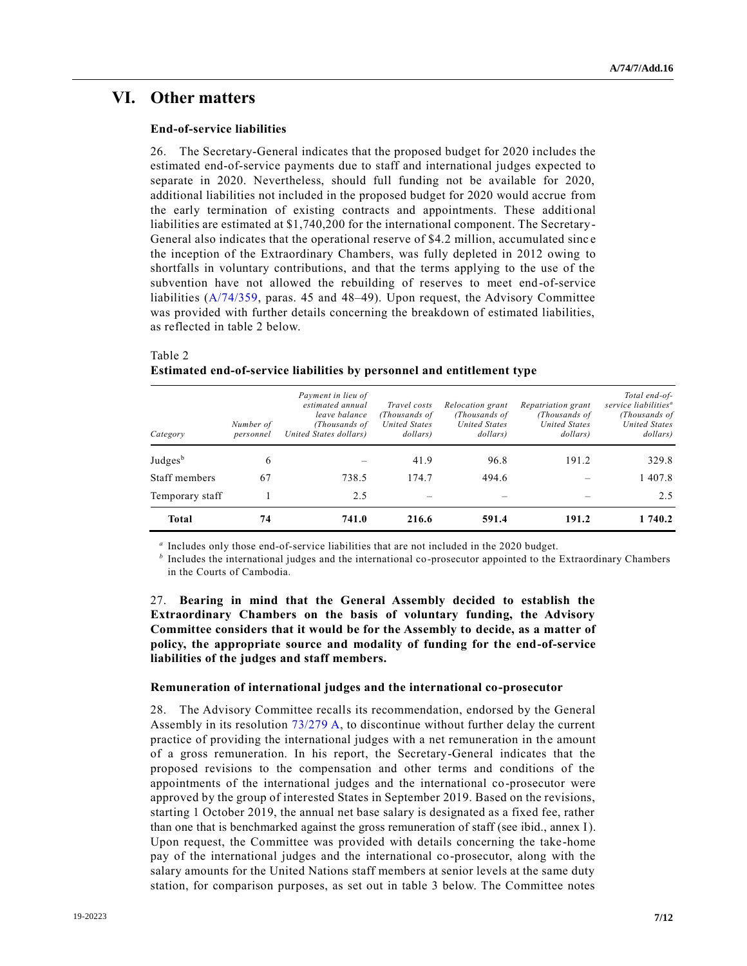### **VI. Other matters**

#### **End-of-service liabilities**

26. The Secretary-General indicates that the proposed budget for 2020 includes the estimated end-of-service payments due to staff and international judges expected to separate in 2020. Nevertheless, should full funding not be available for 2020, additional liabilities not included in the proposed budget for 2020 would accrue from the early termination of existing contracts and appointments. These additional liabilities are estimated at \$1,740,200 for the international component. The Secretary-General also indicates that the operational reserve of \$4.2 million, accumulated sinc e the inception of the Extraordinary Chambers, was fully depleted in 2012 owing to shortfalls in voluntary contributions, and that the terms applying to the use of the subvention have not allowed the rebuilding of reserves to meet end-of-service liabilities [\(A/74/359,](https://undocs.org/ST/IC/2019/10) paras. 45 and 48–49). Upon request, the Advisory Committee was provided with further details concerning the breakdown of estimated liabilities, as reflected in table 2 below.

### Table 2 **Estimated end-of-service liabilities by personnel and entitlement type**

| Category            | Number of<br>personnel | Payment in lieu of<br>estimated annual<br>leave balance<br>(Thousands of<br>United States dollars) | Travel costs<br>(Thousands of<br><b>United States</b><br>dollars) | Relocation grant<br>(Thousands of<br><b>United States</b><br>dollars) | Repatriation grant<br>(Thousands of<br><b>United States</b><br>dollars) | Total end-of-<br>service liabilities <sup>a</sup><br>(Thousands of<br><b>United States</b><br>dollars) |
|---------------------|------------------------|----------------------------------------------------------------------------------------------------|-------------------------------------------------------------------|-----------------------------------------------------------------------|-------------------------------------------------------------------------|--------------------------------------------------------------------------------------------------------|
| Judges <sup>b</sup> | 6                      |                                                                                                    | 41.9                                                              | 96.8                                                                  | 191.2                                                                   | 329.8                                                                                                  |
| Staff members       | 67                     | 738.5                                                                                              | 174.7                                                             | 494.6                                                                 |                                                                         | 1 407.8                                                                                                |
| Temporary staff     |                        | 2.5                                                                                                |                                                                   |                                                                       |                                                                         | 2.5                                                                                                    |
| <b>Total</b>        | 74                     | 741.0                                                                                              | 216.6                                                             | 591.4                                                                 | 191.2                                                                   | 1 740.2                                                                                                |

*a* Includes only those end-of-service liabilities that are not included in the 2020 budget.

*b* Includes the international judges and the international co-prosecutor appointed to the Extraordinary Chambers in the Courts of Cambodia.

27. **Bearing in mind that the General Assembly decided to establish the Extraordinary Chambers on the basis of voluntary funding, the Advisory Committee considers that it would be for the Assembly to decide, as a matter of policy, the appropriate source and modality of funding for the end-of-service liabilities of the judges and staff members.**

#### **Remuneration of international judges and the international co-prosecutor**

28. The Advisory Committee recalls its recommendation, endorsed by the General Assembly in its resolution [73/279 A,](https://undocs.org/A/RES/73/279) to discontinue without further delay the current practice of providing the international judges with a net remuneration in the amount of a gross remuneration. In his report, the Secretary-General indicates that the proposed revisions to the compensation and other terms and conditions of the appointments of the international judges and the international co-prosecutor were approved by the group of interested States in September 2019. Based on the revisions, starting 1 October 2019, the annual net base salary is designated as a fixed fee, rather than one that is benchmarked against the gross remuneration of staff (see ibid., annex I). Upon request, the Committee was provided with details concerning the take-home pay of the international judges and the international co-prosecutor, along with the salary amounts for the United Nations staff members at senior levels at the same duty station, for comparison purposes, as set out in table 3 below. The Committee notes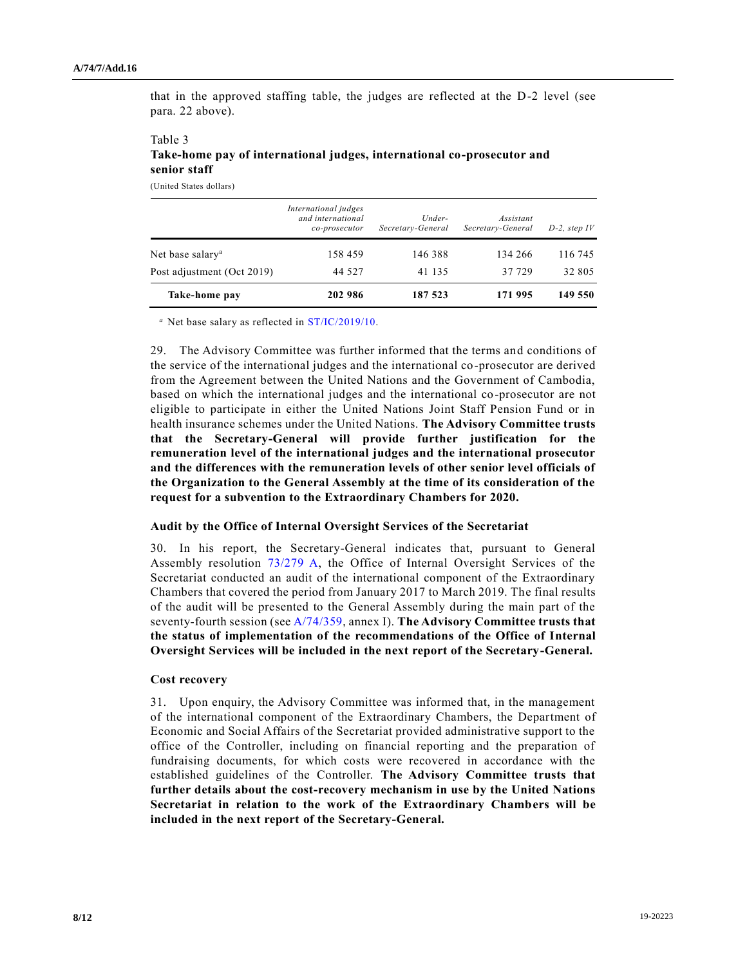that in the approved staffing table, the judges are reflected at the D-2 level (see para. 22 above).

#### Table 3 **Take-home pay of international judges, international co-prosecutor and senior staff**

(United States dollars)

|                              | International judges<br>and international<br>co-prosecutor | $Under-$<br>Secretary-General | Assistant<br>Secretary-General | $D-2$ , step IV |
|------------------------------|------------------------------------------------------------|-------------------------------|--------------------------------|-----------------|
| Net base salary <sup>a</sup> | 158 459                                                    | 146 388                       | 134 266                        | 116 745         |
| Post adjustment (Oct 2019)   | 44 527                                                     | 41 135                        | 37 729                         | 32 805          |
| Take-home pay                | 202 986                                                    | 187 523                       | 171 995                        | 149 550         |

*<sup>a</sup>* Net base salary as reflected in [ST/IC/2019/10.](https://undocs.org/en/ST/IC/2019/10)

29. The Advisory Committee was further informed that the terms and conditions of the service of the international judges and the international co-prosecutor are derived from the Agreement between the United Nations and the Government of Cambodia, based on which the international judges and the international co-prosecutor are not eligible to participate in either the United Nations Joint Staff Pension Fund or in health insurance schemes under the United Nations. **The Advisory Committee trusts that the Secretary-General will provide further justification for the remuneration level of the international judges and the international prosecutor and the differences with the remuneration levels of other senior level officials of the Organization to the General Assembly at the time of its consideration of the request for a subvention to the Extraordinary Chambers for 2020.**

#### **Audit by the Office of Internal Oversight Services of the Secretariat**

30. In his report, the Secretary-General indicates that, pursuant to General Assembly resolution [73/279 A,](https://undocs.org/A/RES/73/279) the Office of Internal Oversight Services of the Secretariat conducted an audit of the international component of the Extraordinary Chambers that covered the period from January 2017 to March 2019. The final results of the audit will be presented to the General Assembly during the main part of the seventy-fourth session (se[e A/74/359,](https://undocs.org/A/74/359) annex I). **The Advisory Committee trusts that the status of implementation of the recommendations of the Office of Internal Oversight Services will be included in the next report of the Secretary-General.**

#### **Cost recovery**

31. Upon enquiry, the Advisory Committee was informed that, in the management of the international component of the Extraordinary Chambers, the Department of Economic and Social Affairs of the Secretariat provided administrative support to the office of the Controller, including on financial reporting and the preparation of fundraising documents, for which costs were recovered in accordance with the established guidelines of the Controller. **The Advisory Committee trusts that further details about the cost-recovery mechanism in use by the United Nations Secretariat in relation to the work of the Extraordinary Chambers will be included in the next report of the Secretary-General.**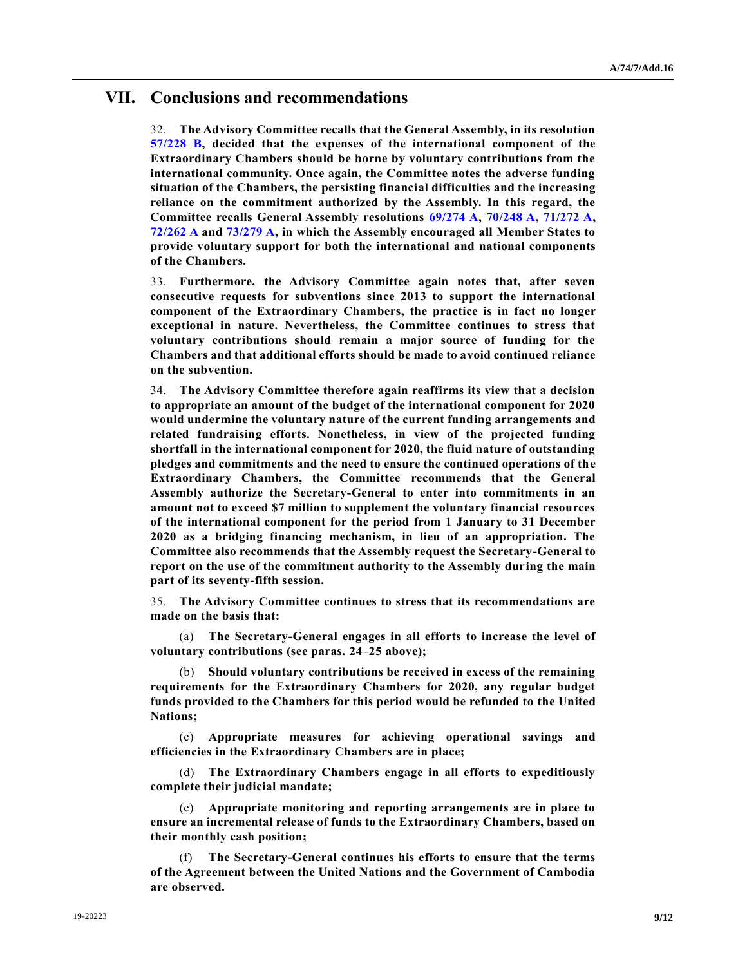### **VII. Conclusions and recommendations**

32. **The Advisory Committee recalls that the General Assembly, in its resolution [57/228 B,](https://undocs.org/A/RES/57/228b) decided that the expenses of the international component of the Extraordinary Chambers should be borne by voluntary contributions from the international community. Once again, the Committee notes the adverse funding situation of the Chambers, the persisting financial difficulties and the increasing reliance on the commitment authorized by the Assembly. In this regard, the Committee recalls General Assembly resolutions [69/274 A,](https://undocs.org/A/RES/69/274) [70/248 A,](https://undocs.org/A/RES/70/248) [71/272 A,](https://undocs.org/A/RES/71/272) [72/262 A](https://undocs.org/A/RES/72/262) and [73/279 A,](https://undocs.org/A/RES/73/279) in which the Assembly encouraged all Member States to provide voluntary support for both the international and national components of the Chambers.**

33. **Furthermore, the Advisory Committee again notes that, after seven consecutive requests for subventions since 2013 to support the international component of the Extraordinary Chambers, the practice is in fact no longer exceptional in nature. Nevertheless, the Committee continues to stress that voluntary contributions should remain a major source of funding for the Chambers and that additional efforts should be made to avoid continued reliance on the subvention.**

34. **The Advisory Committee therefore again reaffirms its view that a decision to appropriate an amount of the budget of the international component for 2020 would undermine the voluntary nature of the current funding arrangements and related fundraising efforts. Nonetheless, in view of the projected funding shortfall in the international component for 2020, the fluid nature of outstanding pledges and commitments and the need to ensure the continued operations of the Extraordinary Chambers, the Committee recommends that the General Assembly authorize the Secretary-General to enter into commitments in an amount not to exceed \$7 million to supplement the voluntary financial resources of the international component for the period from 1 January to 31 December 2020 as a bridging financing mechanism, in lieu of an appropriation. The Committee also recommends that the Assembly request the Secretary-General to report on the use of the commitment authority to the Assembly during the main part of its seventy-fifth session.** 

35. **The Advisory Committee continues to stress that its recommendations are made on the basis that:**

(a) **The Secretary-General engages in all efforts to increase the level of voluntary contributions (see paras. 24–25 above);**

(b) **Should voluntary contributions be received in excess of the remaining requirements for the Extraordinary Chambers for 2020, any regular budget funds provided to the Chambers for this period would be refunded to the United Nations;**

(c) **Appropriate measures for achieving operational savings and efficiencies in the Extraordinary Chambers are in place;**

(d) **The Extraordinary Chambers engage in all efforts to expeditiously complete their judicial mandate;**

(e) **Appropriate monitoring and reporting arrangements are in place to ensure an incremental release of funds to the Extraordinary Chambers, based on their monthly cash position;** 

(f) **The Secretary-General continues his efforts to ensure that the terms of the Agreement between the United Nations and the Government of Cambodia are observed.**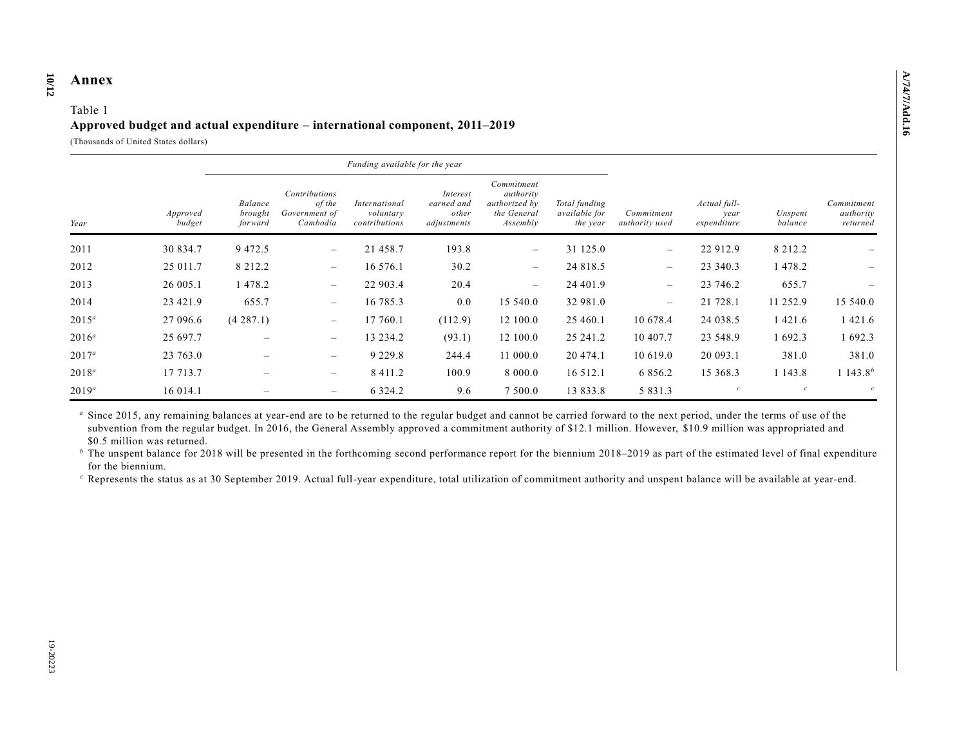#### **10 /12 Annex**

#### Table 1 **Approved budget and actual expenditure – international component, 2011–2019**

(Thousands of United States dollars)

|          |                    |                               |                                                      | Funding available for the year              |                                                |                                                                     |                                            |                                                                     |                    |                                     |                      |
|----------|--------------------|-------------------------------|------------------------------------------------------|---------------------------------------------|------------------------------------------------|---------------------------------------------------------------------|--------------------------------------------|---------------------------------------------------------------------|--------------------|-------------------------------------|----------------------|
| Year     | Approved<br>budget | Balance<br>brought<br>forward | Contributions<br>of the<br>Government of<br>Cambodia | International<br>voluntary<br>contributions | Interest<br>earned and<br>other<br>adjustments | Commitment<br>authority<br>authorized by<br>the General<br>Assembly | Total funding<br>available for<br>the year | Actual full-<br>Commitment<br>year<br>expenditure<br>authority used | Unspent<br>balance | Commitment<br>authority<br>returned |                      |
| 2011     | 30 834.7           | 9 4 7 2.5                     | $\overline{\phantom{m}}$                             | 21 458.7                                    | 193.8                                          | $\overline{\phantom{m}}$                                            | 31 125.0                                   | $\overline{\phantom{0}}$                                            | 22 912.9           | 8 2 1 2 . 2                         |                      |
| 2012     | 25 011.7           | 8 2 1 2 . 2                   | $\overline{\phantom{m}}$                             | 16 576.1                                    | 30.2                                           | $\overline{\phantom{m}}$                                            | 24 818.5                                   | $\overline{\phantom{0}}$                                            | 23 340.3           | 1 478.2                             |                      |
| 2013     | 26 005.1           | 1478.2                        | $\overline{\phantom{m}}$                             | 22 903.4                                    | 20.4                                           | $\overline{\phantom{m}}$                                            | 24 401.9                                   | $\overline{\phantom{m}}$                                            | 23 746.2           | 655.7                               |                      |
| 2014     | 23 421.9           | 655.7                         | $\overline{\phantom{m}}$                             | 16 785.3                                    | 0.0                                            | 15 540.0                                                            | 32 981.0                                   | $\overline{\phantom{m}}$                                            | 21 728.1           | 11 252.9                            | 15 540.0             |
| $2015^a$ | 27 096.6           | (4287.1)                      | $\overline{\phantom{m}}$                             | 17 760.1                                    | (112.9)                                        | 12 100.0                                                            | 25 460.1                                   | 10 678.4                                                            | 24 038.5           | 1 4 2 1 .6                          | 1 4 2 1 .6           |
| $2016^a$ | 25 697.7           | $\overline{\phantom{m}}$      | $\overline{\phantom{m}}$                             | 13 234.2                                    | (93.1)                                         | 12 100.0                                                            | 25 24 1.2                                  | 10 407.7                                                            | 23 548.9           | 1 692.3                             | 1 692.3              |
| $2017^a$ | 23 763.0           |                               | $\qquad \qquad -$                                    | 9 2 2 9 . 8                                 | 244.4                                          | 11 000.0                                                            | 20 474.1                                   | 10 619.0                                                            | 20 093.1           | 381.0                               | 381.0                |
| $2018^a$ | 17 713.7           | $\overline{\phantom{m}}$      | $\qquad \qquad -$                                    | 8 4 1 1 . 2                                 | 100.9                                          | 8 000.0                                                             | 16 5 12.1                                  | 6 8 5 6 .2                                                          | 15 368.3           | 1 1 4 3 . 8                         | 1 143.8 <sup>b</sup> |
| $2019^a$ | 16 014.1           |                               | $\qquad \qquad -$                                    | 6 3 2 4 . 2                                 | 9.6                                            | 7 500.0                                                             | 13 833.8                                   | 5 8 3 1 . 3                                                         | $\mathcal{C}$      |                                     | $\mathcal{C}$        |

<sup>a</sup> Since 2015, any remaining balances at year-end are to be returned to the regular budget and cannot be carried forward to the next period, under the terms of use of the subvention from the regular budget. In 2016, the General Assembly approved a commitment authority of \$12.1 million. However, \$10.9 million was appropriated and \$0.5 million was returned.

<sup>*b*</sup> The unspent balance for 2018 will be presented in the forthcoming second performance report for the biennium 2018–2019 as part of the estimated level of final expenditure for the biennium.

*<sup>c</sup>* Represents the status as at 30 September 2019. Actual full-year expenditure, total utilization of commitment authority and unspent balance will be available at year-end.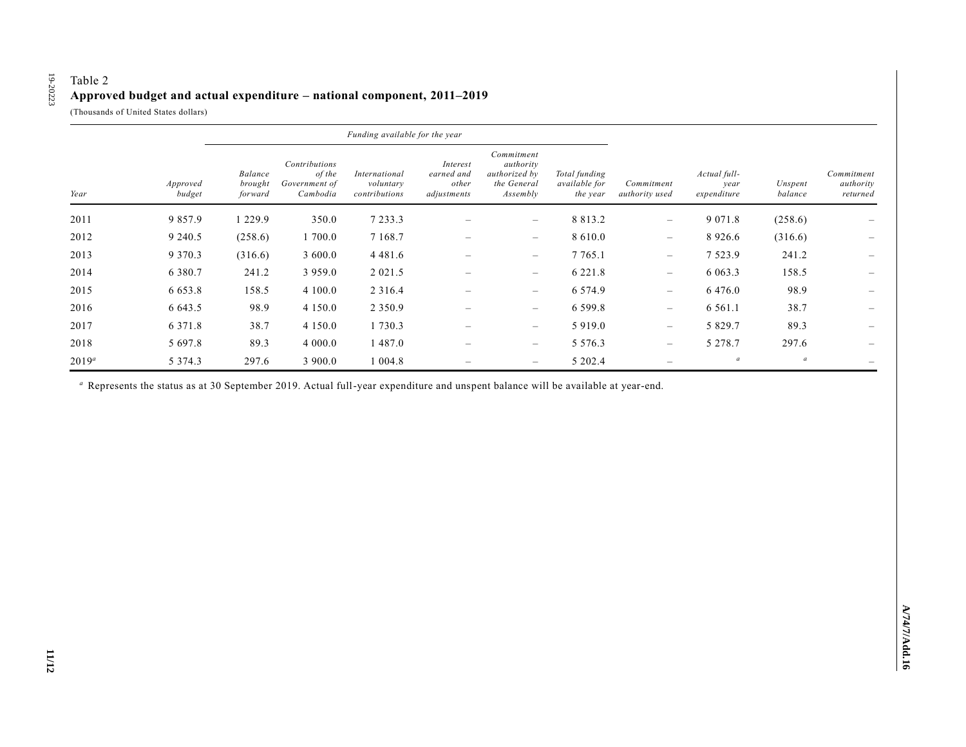### Table 2 **Approved budget and actual expenditure – national component, 2011–2019**

(Thousands of United States dollars)

19-20223

19-20223

|          |                    |                               |                                                      | Funding available for the year              |                                                |                                                                     |                                                   |                                 |                                     |                    |                                     |
|----------|--------------------|-------------------------------|------------------------------------------------------|---------------------------------------------|------------------------------------------------|---------------------------------------------------------------------|---------------------------------------------------|---------------------------------|-------------------------------------|--------------------|-------------------------------------|
| Year     | Approved<br>budget | Balance<br>brought<br>forward | Contributions<br>of the<br>Government of<br>Cambodia | International<br>voluntary<br>contributions | Interest<br>earned and<br>other<br>adjustments | Commitment<br>authority<br>authorized by<br>the General<br>Assembly | Total funding<br><i>available for</i><br>the year | Commitment<br>authority used    | Actual full-<br>year<br>expenditure | Unspent<br>balance | Commitment<br>authority<br>returned |
| 2011     | 9 8 5 7 . 9        | 1 229.9                       | 350.0                                                | 7 2 3 3 . 3                                 |                                                | $\overline{\phantom{0}}$                                            | 8 8 1 3 . 2                                       | $\qquad \qquad -$               | 9 0 7 1 . 8                         | (258.6)            |                                     |
| 2012     | 9 2 4 0 .5         | (258.6)                       | 1 700.0                                              | 7 1 68.7                                    | $\overline{\phantom{a}}$                       | $\qquad \qquad -$                                                   | 8 6 1 0 . 0                                       | $\overline{\phantom{a}}$        | 8 9 2 6 . 6                         | (316.6)            | $\hspace{0.1mm}-\hspace{0.1mm}$     |
| 2013     | 9 3 7 0 . 3        | (316.6)                       | 3 600.0                                              | 4 4 8 1 . 6                                 |                                                | $\overline{\phantom{0}}$                                            | 7 7 65.1                                          | $\overline{\phantom{a}}$        | 7 5 2 3 . 9                         | 241.2              |                                     |
| 2014     | 6 3 8 0 . 7        | 241.2                         | 3 9 5 9 . 0                                          | 2 0 2 1 .5                                  |                                                | $\overline{\phantom{m}}$                                            | 6 2 2 1 . 8                                       | $\overline{\phantom{m}}$        | 6 0 6 3 . 3                         | 158.5              |                                     |
| 2015     | 6 6 5 3 . 8        | 158.5                         | 4 100.0                                              | 2 3 1 6 .4                                  | $\overline{\phantom{m}}$                       | $\overline{\phantom{m}}$                                            | 6 5 7 4 .9                                        | $\overline{\phantom{a}}$        | 6 4 7 6 .0                          | 98.9               | $\hspace{0.1mm}-\hspace{0.1mm}$     |
| 2016     | 6 643.5            | 98.9                          | 4 1 5 0 .0                                           | 2 3 5 0 . 9                                 |                                                | $\hspace{0.1mm}-\hspace{0.1mm}$                                     | 6 5 9 9 . 8                                       | $\overline{\phantom{m}}$        | 6 5 6 1 . 1                         | 38.7               |                                     |
| 2017     | 6 3 7 1 . 8        | 38.7                          | 4 1 5 0 .0                                           | 1 730.3                                     |                                                | $\overline{\phantom{m}}$                                            | 5 9 1 9 .0                                        | $\overline{\phantom{m}}$        | 5 8 2 9 . 7                         | 89.3               |                                     |
| 2018     | 5 697.8            | 89.3                          | 4 000.0                                              | 1 487.0                                     |                                                | $\overline{\phantom{m}}$                                            | 5 5 7 6 . 3                                       | $\hspace{0.1mm}-\hspace{0.1mm}$ | 5 2 7 8 . 7                         | 297.6              |                                     |
| $2019^a$ | 5 3 7 4 . 3        | 297.6                         | 3 900.0                                              | 004.8                                       | $\overline{\phantom{a}}$                       | $\qquad \qquad \longleftarrow$                                      | 5 202.4                                           | $\hspace{0.1mm}-\hspace{0.1mm}$ | $\boldsymbol{a}$                    | $\boldsymbol{a}$   | $\overline{\phantom{0}}$            |

*<sup>a</sup>* Represents the status as at 30 September 2019. Actual full-year expenditure and unspent balance will be available at year-end.